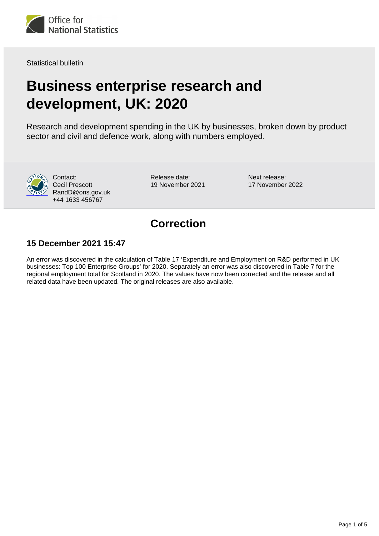

Statistical bulletin

# **Business enterprise research and development, UK: 2020**

Research and development spending in the UK by businesses, broken down by product sector and civil and defence work, along with numbers employed.



Contact: Cecil Prescott RandD@ons.gov.uk +44 1633 456767

Release date: 19 November 2021 Next release: 17 November 2022

# **Correction**

#### **15 December 2021 15:47**

An error was discovered in the calculation of Table 17 'Expenditure and Employment on R&D performed in UK businesses: Top 100 Enterprise Groups' for 2020. Separately an error was also discovered in Table 7 for the regional employment total for Scotland in 2020. The values have now been corrected and the release and all related data have been updated. The original releases are also available.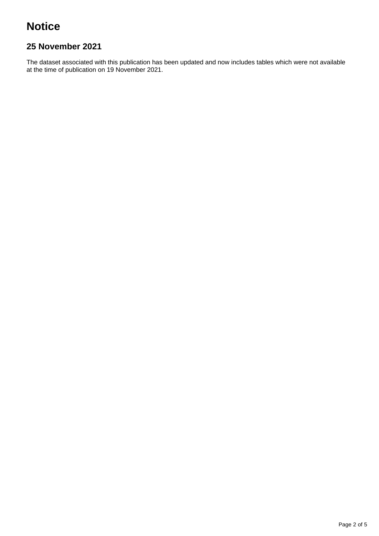# **Notice**

### **25 November 2021**

The dataset associated with this publication has been updated and now includes tables which were not available at the time of publication on 19 November 2021.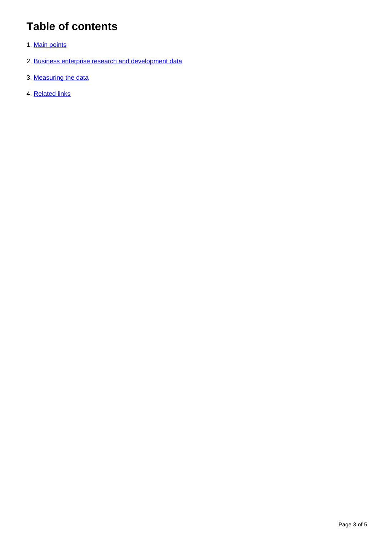# **Table of contents**

- 1. [Main points](#page-3-0)
- 2. [Business enterprise research and development data](#page-3-1)
- 3. [Measuring the data](#page-3-2)
- 4. [Related links](#page-4-0)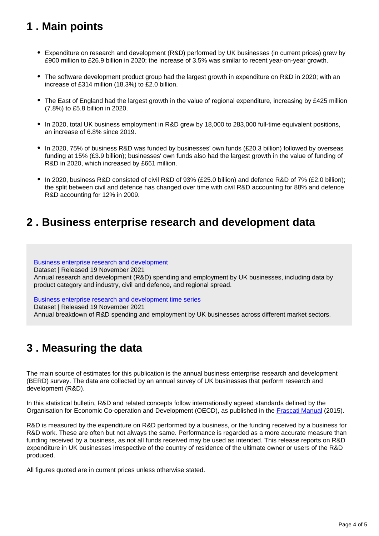# <span id="page-3-0"></span>**1 . Main points**

- Expenditure on research and development (R&D) performed by UK businesses (in current prices) grew by £900 million to £26.9 billion in 2020; the increase of 3.5% was similar to recent year-on-year growth.
- The software development product group had the largest growth in expenditure on R&D in 2020; with an increase of £314 million (18.3%) to £2.0 billion.
- The East of England had the largest growth in the value of regional expenditure, increasing by £425 million (7.8%) to £5.8 billion in 2020.
- In 2020, total UK business employment in R&D grew by 18,000 to 283,000 full-time equivalent positions, an increase of 6.8% since 2019.
- In 2020, 75% of business R&D was funded by businesses' own funds (£20.3 billion) followed by overseas funding at 15% (£3.9 billion); businesses' own funds also had the largest growth in the value of funding of R&D in 2020, which increased by £661 million.
- In 2020, business R&D consisted of civil R&D of 93% (£25.0 billion) and defence R&D of 7% (£2.0 billion); the split between civil and defence has changed over time with civil R&D accounting for 88% and defence R&D accounting for 12% in 2009.

### <span id="page-3-1"></span>**2 . Business enterprise research and development data**

[Business enterprise research and development](https://www.ons.gov.uk/economy/governmentpublicsectorandtaxes/researchanddevelopmentexpenditure/datasets/ukbusinessenterpriseresearchanddevelopment)

Dataset | Released 19 November 2021

Annual research and development (R&D) spending and employment by UK businesses, including data by product category and industry, civil and defence, and regional spread.

[Business enterprise research and development time series](https://www.ons.gov.uk/economy/governmentpublicsectorandtaxes/researchanddevelopmentexpenditure/datasets/businessenterpriseresearchanddevelopmenttimeseriesspreadsheet)

Dataset | Released 19 November 2021 Annual breakdown of R&D spending and employment by UK businesses across different market sectors.

# <span id="page-3-2"></span>**3 . Measuring the data**

The main source of estimates for this publication is the annual business enterprise research and development (BERD) survey. The data are collected by an annual survey of UK businesses that perform research and development (R&D).

In this statistical bulletin, R&D and related concepts follow internationally agreed standards defined by the Organisation for Economic Co-operation and Development (OECD), as published in the [Frascati Manual](https://www.oecd.org/publications/frascati-manual-2015-9789264239012-en.htm) (2015).

R&D is measured by the expenditure on R&D performed by a business, or the funding received by a business for R&D work. These are often but not always the same. Performance is regarded as a more accurate measure than funding received by a business, as not all funds received may be used as intended. This release reports on R&D expenditure in UK businesses irrespective of the country of residence of the ultimate owner or users of the R&D produced.

All figures quoted are in current prices unless otherwise stated.